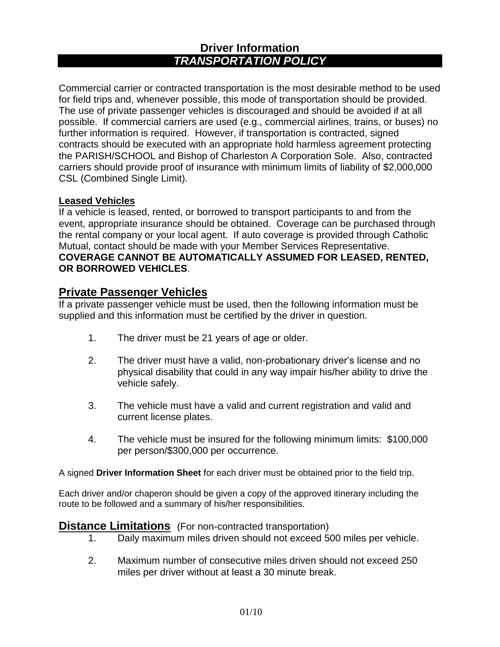# **Driver Information** *TRANSPORTATION POLICY*

Commercial carrier or contracted transportation is the most desirable method to be used for field trips and, whenever possible, this mode of transportation should be provided. The use of private passenger vehicles is discouraged and should be avoided if at all possible. If commercial carriers are used (e.g., commercial airlines, trains, or buses) no further information is required. However, if transportation is contracted, signed contracts should be executed with an appropriate hold harmless agreement protecting the PARISH/SCHOOL and Bishop of Charleston A Corporation Sole. Also, contracted carriers should provide proof of insurance with minimum limits of liability of \$2,000,000 CSL (Combined Single Limit).

### **Leased Vehicles**

If a vehicle is leased, rented, or borrowed to transport participants to and from the event, appropriate insurance should be obtained. Coverage can be purchased through the rental company or your local agent. If auto coverage is provided through Catholic Mutual, contact should be made with your Member Services Representative. **COVERAGE CANNOT BE AUTOMATICALLY ASSUMED FOR LEASED, RENTED, OR BORROWED VEHICLES**.

## **Private Passenger Vehicles**

If a private passenger vehicle must be used, then the following information must be supplied and this information must be certified by the driver in question.

- 1. The driver must be 21 years of age or older.
- 2. The driver must have a valid, non-probationary driver's license and no physical disability that could in any way impair his/her ability to drive the vehicle safely.
- 3. The vehicle must have a valid and current registration and valid and current license plates.
- 4. The vehicle must be insured for the following minimum limits: \$100,000 per person/\$300,000 per occurrence.

A signed **Driver Information Sheet** for each driver must be obtained prior to the field trip.

Each driver and/or chaperon should be given a copy of the approved itinerary including the route to be followed and a summary of his/her responsibilities.

### **Distance Limitations** (For non-contracted transportation)

- 1. Daily maximum miles driven should not exceed 500 miles per vehicle.
- 2. Maximum number of consecutive miles driven should not exceed 250 miles per driver without at least a 30 minute break.